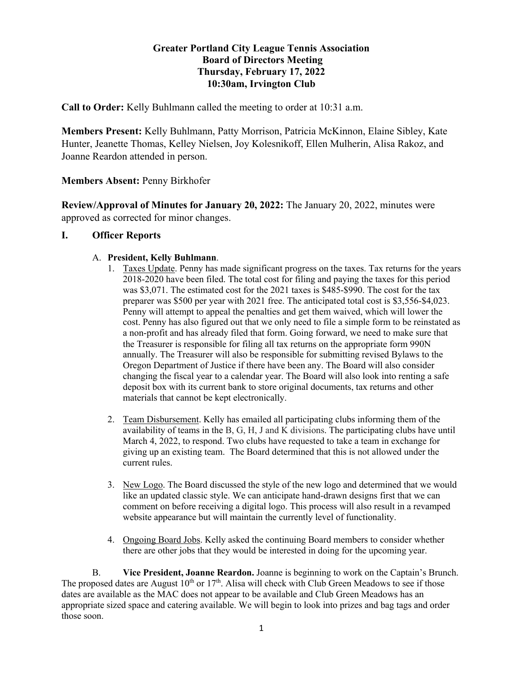## **Greater Portland City League Tennis Association Board of Directors Meeting Thursday, February 17, 2022 10:30am, Irvington Club**

**Call to Order:** Kelly Buhlmann called the meeting to order at 10:31 a.m.

**Members Present:** Kelly Buhlmann, Patty Morrison, Patricia McKinnon, Elaine Sibley, Kate Hunter, Jeanette Thomas, Kelley Nielsen, Joy Kolesnikoff, Ellen Mulherin, Alisa Rakoz, and Joanne Reardon attended in person.

# **Members Absent:** Penny Birkhofer

**Review/Approval of Minutes for January 20, 2022:** The January 20, 2022, minutes were approved as corrected for minor changes.

## **I. Officer Reports**

### A. **President, Kelly Buhlmann**.

- 1. Taxes Update. Penny has made significant progress on the taxes. Tax returns for the years 2018-2020 have been filed. The total cost for filing and paying the taxes for this period was \$3,071. The estimated cost for the 2021 taxes is \$485-\$990. The cost for the tax preparer was \$500 per year with 2021 free. The anticipated total cost is \$3,556-\$4,023. Penny will attempt to appeal the penalties and get them waived, which will lower the cost. Penny has also figured out that we only need to file a simple form to be reinstated as a non-profit and has already filed that form. Going forward, we need to make sure that the Treasurer is responsible for filing all tax returns on the appropriate form 990N annually. The Treasurer will also be responsible for submitting revised Bylaws to the Oregon Department of Justice if there have been any. The Board will also consider changing the fiscal year to a calendar year. The Board will also look into renting a safe deposit box with its current bank to store original documents, tax returns and other materials that cannot be kept electronically.
- 2. Team Disbursement. Kelly has emailed all participating clubs informing them of the availability of teams in the B, G, H, J and K divisions. The participating clubs have until March 4, 2022, to respond. Two clubs have requested to take a team in exchange for giving up an existing team. The Board determined that this is not allowed under the current rules.
- 3. New Logo. The Board discussed the style of the new logo and determined that we would like an updated classic style. We can anticipate hand-drawn designs first that we can comment on before receiving a digital logo. This process will also result in a revamped website appearance but will maintain the currently level of functionality.
- 4. Ongoing Board Jobs. Kelly asked the continuing Board members to consider whether there are other jobs that they would be interested in doing for the upcoming year.

B. **Vice President, Joanne Reardon.** Joanne is beginning to work on the Captain's Brunch. The proposed dates are August  $10^{th}$  or  $17^{th}$ . Alisa will check with Club Green Meadows to see if those dates are available as the MAC does not appear to be available and Club Green Meadows has an appropriate sized space and catering available. We will begin to look into prizes and bag tags and order those soon.